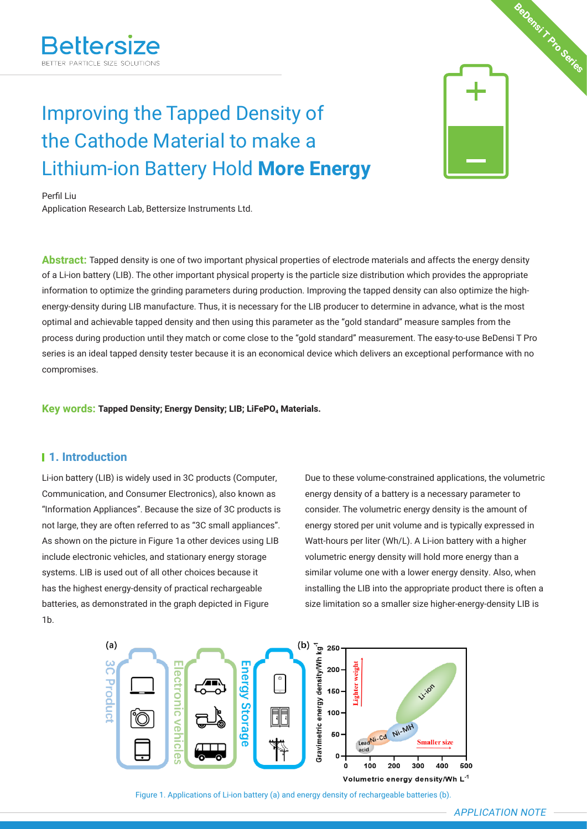# **BeDensi T Pro Series**

# Improving the Tapped Density of the Cathode Material to make a Lithium-ion Battery Hold **More Energy**

Perfil Liu

Application Research Lab, Bettersize Instruments Ltd.

**Abstract:** Tapped density is one of two important physical properties of electrode materials and affects the energy density of a Li-ion battery (LIB). The other important physical property is the particle size distribution which provides the appropriate information to optimize the grinding parameters during production. Improving the tapped density can also optimize the highenergy-density during LIB manufacture. Thus, it is necessary for the LIB producer to determine in advance, what is the most optimal and achievable tapped density and then using this parameter as the "gold standard" measure samples from the process during production until they match or come close to the "gold standard" measurement. The easy-to-use BeDensi T Pro series is an ideal tapped density tester because it is an economical device which delivers an exceptional performance with no compromises.

**Key words: Tapped Density; Energy Density; LIB; LiFePO<sub>4</sub> Materials.** 

# **1. Introduction**

Li-ion battery (LIB) is widely used in 3C products (Computer, Communication, and Consumer Electronics), also known as "Information Appliances". Because the size of 3C products is not large, they are often referred to as "3C small appliances". As shown on the picture in Figure 1a other devices using LIB include electronic vehicles, and stationary energy storage systems. LIB is used out of all other choices because it has the highest energy-density of practical rechargeable batteries, as demonstrated in the graph depicted in Figure 1b.

Due to these volume-constrained applications, the volumetric energy density of a battery is a necessary parameter to consider. The volumetric energy density is the amount of energy stored per unit volume and is typically expressed in Watt-hours per liter (Wh/L). A Li-ion battery with a higher volumetric energy density will hold more energy than a similar volume one with a lower energy density. Also, when installing the LIB into the appropriate product there is often a size limitation so a smaller size higher-energy-density LIB is



Figure 1. Applications of Li-ion battery (a) and energy density of rechargeable batteries (b).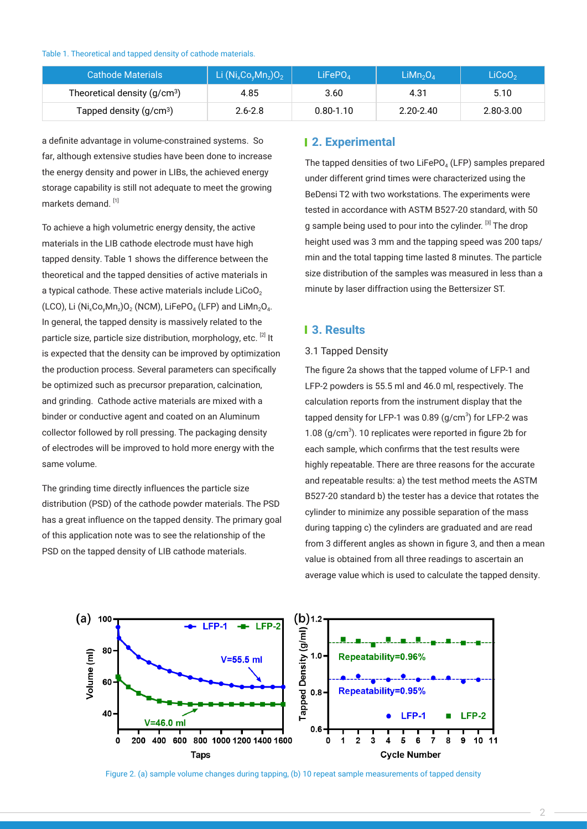Table 1. Theoretical and tapped density of cathode materials.

| <b>Cathode Materials</b>      | Li $(Ni_xCo_yMn_z)O_2$ | LiFePO <sub>A</sub> | LiMn <sub>2</sub> O <sub>A</sub> | LiCoO <sub>2</sub> |
|-------------------------------|------------------------|---------------------|----------------------------------|--------------------|
| Theoretical density $(g/cm3)$ | 4.85                   | 3.60                | 4.31                             | 5.10               |
| Tapped density $(g/cm3)$      | $2.6 - 2.8$            | $0.80 - 1.10$       | $2.20 - 2.40$                    | 2.80-3.00          |

a definite advantage in volume-constrained systems. So far, although extensive studies have been done to increase the energy density and power in LIBs, the achieved energy storage capability is still not adequate to meet the growing markets demand.<sup>[1]</sup>

To achieve a high volumetric energy density, the active materials in the LIB cathode electrode must have high tapped density. Table 1 shows the difference between the theoretical and the tapped densities of active materials in a typical cathode. These active materials include  $LiCoO<sub>2</sub>$ (LCO), Li (Ni<sub>x</sub>Co<sub>v</sub>Mn<sub>z</sub>)O<sub>2</sub> (NCM), LiFePO<sub>4</sub> (LFP) and LiMn<sub>2</sub>O<sub>4</sub>. In general, the tapped density is massively related to the particle size, particle size distribution, morphology, etc. [2] It is expected that the density can be improved by optimization the production process. Several parameters can specifically be optimized such as precursor preparation, calcination, and grinding. Cathode active materials are mixed with a binder or conductive agent and coated on an Aluminum collector followed by roll pressing. The packaging density of electrodes will be improved to hold more energy with the same volume.

The grinding time directly influences the particle size distribution (PSD) of the cathode powder materials. The PSD has a great influence on the tapped density. The primary goal of this application note was to see the relationship of the PSD on the tapped density of LIB cathode materials.

# **2. Experimental**

The tapped densities of two LiFePO<sub>4</sub> (LFP) samples prepared under different grind times were characterized using the BeDensi T2 with two workstations. The experiments were tested in accordance with ASTM B527-20 standard, with 50 g sample being used to pour into the cylinder. [3] The drop height used was 3 mm and the tapping speed was 200 taps/ min and the total tapping time lasted 8 minutes. The particle size distribution of the samples was measured in less than a minute by laser diffraction using the Bettersizer ST.

# **3. Results**

#### 3.1 Tapped Density

The figure 2a shows that the tapped volume of LFP-1 and LFP-2 powders is 55.5 ml and 46.0 ml, respectively. The calculation reports from the instrument display that the tapped density for LFP-1 was 0.89  $(g/cm<sup>3</sup>)$  for LFP-2 was 1.08  $(g/cm<sup>3</sup>)$ . 10 replicates were reported in figure 2b for each sample, which confirms that the test results were highly repeatable. There are three reasons for the accurate and repeatable results: a) the test method meets the ASTM B527-20 standard b) the tester has a device that rotates the cylinder to minimize any possible separation of the mass during tapping c) the cylinders are graduated and are read from 3 different angles as shown in figure 3, and then a mean value is obtained from all three readings to ascertain an average value which is used to calculate the tapped density.



Figure 2. (a) sample volume changes during tapping, (b) 10 repeat sample measurements of tapped density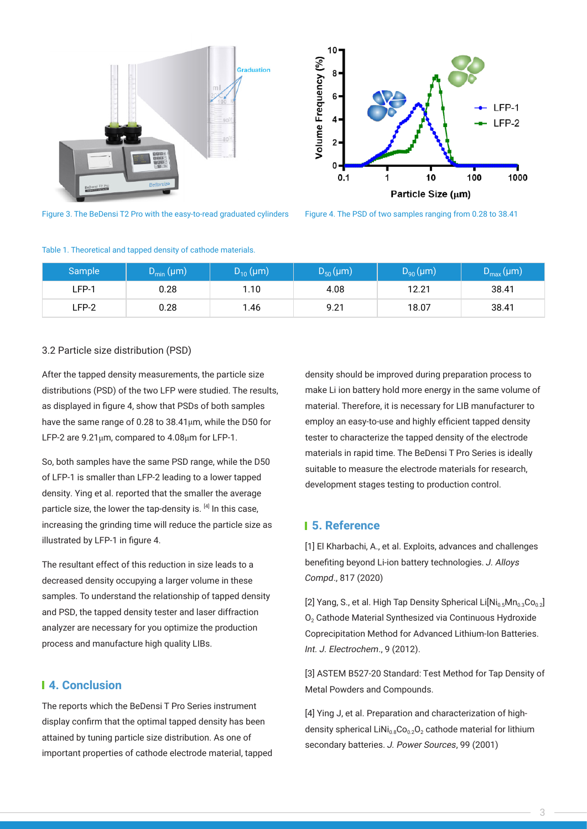



Figure 3. The BeDensi T2 Pro with the easy-to-read graduated cylinders Figure 4. The PSD of two samples ranging from 0.28 to 38.41

|         | .                   |                  |                  |                 |                         |
|---------|---------------------|------------------|------------------|-----------------|-------------------------|
| Sample  | $(D_{\min}(\mu m))$ | $D_{10} (\mu m)$ | $D_{50} (\mu m)$ | $D_{90}(\mu m)$ | $D_{\text{max}}(\mu m)$ |
| $LFP-1$ | 0.28                | 1.10             | 4.08             | 12.21           | 38.41                   |
| LFP-2   | 0.28                | 1.46             | 9.21             | 18.07           | 38.41                   |

#### Table 1. Theoretical and tapped density of cathode materials.

#### 3.2 Particle size distribution (PSD)

After the tapped density measurements, the particle size distributions (PSD) of the two LFP were studied. The results, as displayed in figure 4, show that PSDs of both samples have the same range of 0.28 to 38.41μm, while the D50 for LFP-2 are 9.21μm, compared to 4.08μm for LFP-1.

So, both samples have the same PSD range, while the D50 of LFP-1 is smaller than LFP-2 leading to a lower tapped density. Ying et al. reported that the smaller the average particle size, the lower the tap-density is.  $[4]$  In this case, increasing the grinding time will reduce the particle size as illustrated by LFP-1 in figure 4.

The resultant effect of this reduction in size leads to a decreased density occupying a larger volume in these samples. To understand the relationship of tapped density and PSD, the tapped density tester and laser diffraction analyzer are necessary for you optimize the production process and manufacture high quality LIBs.

# **4. Conclusion**

The reports which the BeDensi T Pro Series instrument display confirm that the optimal tapped density has been attained by tuning particle size distribution. As one of important properties of cathode electrode material, tapped density should be improved during preparation process to make Li ion battery hold more energy in the same volume of material. Therefore, it is necessary for LIB manufacturer to employ an easy-to-use and highly efficient tapped density tester to characterize the tapped density of the electrode materials in rapid time. The BeDensi T Pro Series is ideally suitable to measure the electrode materials for research, development stages testing to production control.

# **5. Reference**

[1] El Kharbachi, A., et al. Exploits, advances and challenges benefiting beyond Li-ion battery technologies. J. Alloys Compd., 817 (2020)

[2] Yang, S., et al. High Tap Density Spherical Li $\text{Ni}_{0.5}\text{Mn}_{0.3}\text{Co}_{0.2}$ ] O<sub>2</sub> Cathode Material Synthesized via Continuous Hydroxide Coprecipitation Method for Advanced Lithium-Ion Batteries. Int. J. Electrochem., 9 (2012).

[3] ASTEM B527-20 Standard: Test Method for Tap Density of Metal Powders and Compounds.

[4] Ying J, et al. Preparation and characterization of highdensity spherical LiNi<sub>0.8</sub>Co<sub>0.2</sub>O<sub>2</sub> cathode material for lithium secondary batteries. J. Power Sources, 99 (2001)